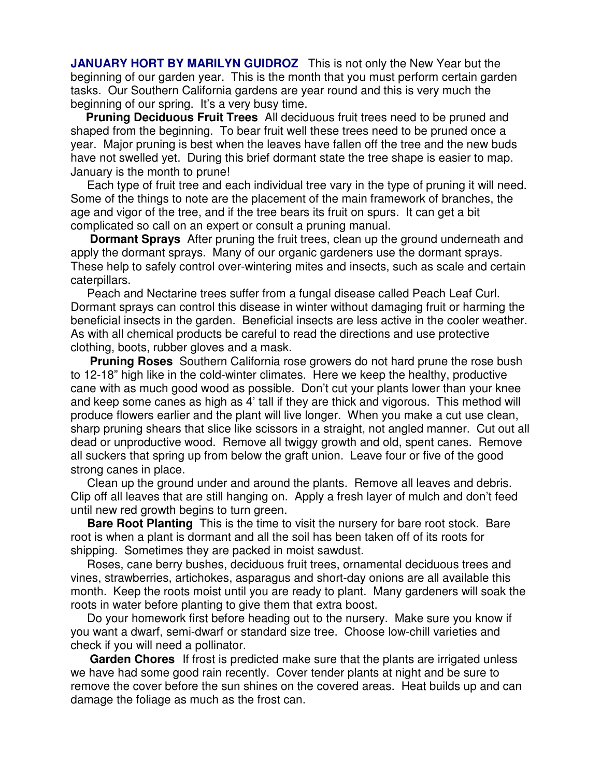**JANUARY HORT BY MARILYN GUIDROZ** This is not only the New Year but the beginning of our garden year. This is the month that you must perform certain garden tasks. Our Southern California gardens are year round and this is very much the beginning of our spring. It's a very busy time.

**Pruning Deciduous Fruit Trees** All deciduous fruit trees need to be pruned and shaped from the beginning. To bear fruit well these trees need to be pruned once a year. Major pruning is best when the leaves have fallen off the tree and the new buds have not swelled yet. During this brief dormant state the tree shape is easier to map. January is the month to prune!

 Each type of fruit tree and each individual tree vary in the type of pruning it will need. Some of the things to note are the placement of the main framework of branches, the age and vigor of the tree, and if the tree bears its fruit on spurs. It can get a bit complicated so call on an expert or consult a pruning manual.

**Dormant Sprays** After pruning the fruit trees, clean up the ground underneath and apply the dormant sprays. Many of our organic gardeners use the dormant sprays. These help to safely control over-wintering mites and insects, such as scale and certain caterpillars.

 Peach and Nectarine trees suffer from a fungal disease called Peach Leaf Curl. Dormant sprays can control this disease in winter without damaging fruit or harming the beneficial insects in the garden. Beneficial insects are less active in the cooler weather. As with all chemical products be careful to read the directions and use protective clothing, boots, rubber gloves and a mask.

**Pruning Roses** Southern California rose growers do not hard prune the rose bush to 12-18" high like in the cold-winter climates. Here we keep the healthy, productive cane with as much good wood as possible. Don't cut your plants lower than your knee and keep some canes as high as 4' tall if they are thick and vigorous. This method will produce flowers earlier and the plant will live longer. When you make a cut use clean, sharp pruning shears that slice like scissors in a straight, not angled manner. Cut out all dead or unproductive wood. Remove all twiggy growth and old, spent canes. Remove all suckers that spring up from below the graft union. Leave four or five of the good strong canes in place.

 Clean up the ground under and around the plants. Remove all leaves and debris. Clip off all leaves that are still hanging on. Apply a fresh layer of mulch and don't feed until new red growth begins to turn green.

 **Bare Root Planting** This is the time to visit the nursery for bare root stock. Bare root is when a plant is dormant and all the soil has been taken off of its roots for shipping. Sometimes they are packed in moist sawdust.

 Roses, cane berry bushes, deciduous fruit trees, ornamental deciduous trees and vines, strawberries, artichokes, asparagus and short-day onions are all available this month. Keep the roots moist until you are ready to plant. Many gardeners will soak the roots in water before planting to give them that extra boost.

 Do your homework first before heading out to the nursery. Make sure you know if you want a dwarf, semi-dwarf or standard size tree. Choose low-chill varieties and check if you will need a pollinator.

 **Garden Chores** If frost is predicted make sure that the plants are irrigated unless we have had some good rain recently. Cover tender plants at night and be sure to remove the cover before the sun shines on the covered areas. Heat builds up and can damage the foliage as much as the frost can.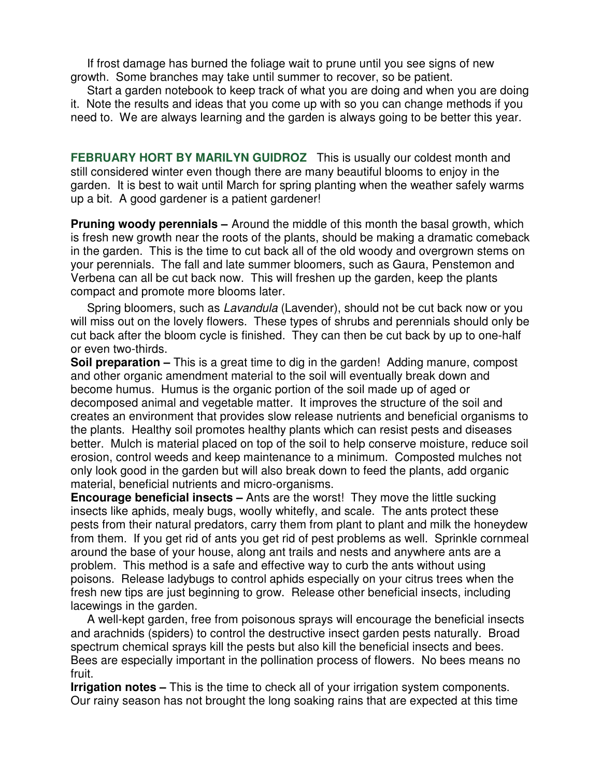If frost damage has burned the foliage wait to prune until you see signs of new growth. Some branches may take until summer to recover, so be patient.

 Start a garden notebook to keep track of what you are doing and when you are doing it. Note the results and ideas that you come up with so you can change methods if you need to. We are always learning and the garden is always going to be better this year.

**FEBRUARY HORT BY MARILYN GUIDROZ** This is usually our coldest month and still considered winter even though there are many beautiful blooms to enjoy in the garden. It is best to wait until March for spring planting when the weather safely warms up a bit. A good gardener is a patient gardener!

**Pruning woody perennials –** Around the middle of this month the basal growth, which is fresh new growth near the roots of the plants, should be making a dramatic comeback in the garden. This is the time to cut back all of the old woody and overgrown stems on your perennials. The fall and late summer bloomers, such as Gaura, Penstemon and Verbena can all be cut back now. This will freshen up the garden, keep the plants compact and promote more blooms later.

Spring bloomers, such as *Lavandula* (Lavender), should not be cut back now or you will miss out on the lovely flowers. These types of shrubs and perennials should only be cut back after the bloom cycle is finished. They can then be cut back by up to one-half or even two-thirds.

**Soil preparation –** This is a great time to dig in the garden! Adding manure, compost and other organic amendment material to the soil will eventually break down and become humus. Humus is the organic portion of the soil made up of aged or decomposed animal and vegetable matter. It improves the structure of the soil and creates an environment that provides slow release nutrients and beneficial organisms to the plants. Healthy soil promotes healthy plants which can resist pests and diseases better. Mulch is material placed on top of the soil to help conserve moisture, reduce soil erosion, control weeds and keep maintenance to a minimum. Composted mulches not only look good in the garden but will also break down to feed the plants, add organic material, beneficial nutrients and micro-organisms.

**Encourage beneficial insects –** Ants are the worst! They move the little sucking insects like aphids, mealy bugs, woolly whitefly, and scale. The ants protect these pests from their natural predators, carry them from plant to plant and milk the honeydew from them. If you get rid of ants you get rid of pest problems as well. Sprinkle cornmeal around the base of your house, along ant trails and nests and anywhere ants are a problem. This method is a safe and effective way to curb the ants without using poisons. Release ladybugs to control aphids especially on your citrus trees when the fresh new tips are just beginning to grow. Release other beneficial insects, including lacewings in the garden.

 A well-kept garden, free from poisonous sprays will encourage the beneficial insects and arachnids (spiders) to control the destructive insect garden pests naturally. Broad spectrum chemical sprays kill the pests but also kill the beneficial insects and bees. Bees are especially important in the pollination process of flowers. No bees means no fruit.

**Irrigation notes –** This is the time to check all of your irrigation system components. Our rainy season has not brought the long soaking rains that are expected at this time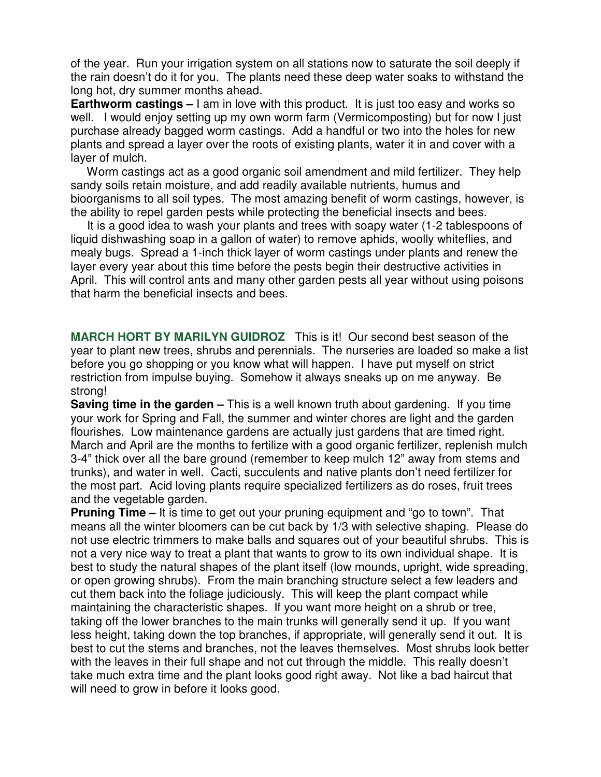of the year. Run your irrigation system on all stations now to saturate the soil deeply if the rain doesn't do it for you. The plants need these deep water soaks to withstand the long hot, dry summer months ahead.

**Earthworm castings –** I am in love with this product. It is just too easy and works so well. I would enjoy setting up my own worm farm (Vermicomposting) but for now I just purchase already bagged worm castings. Add a handful or two into the holes for new plants and spread a layer over the roots of existing plants, water it in and cover with a layer of mulch.

 Worm castings act as a good organic soil amendment and mild fertilizer. They help sandy soils retain moisture, and add readily available nutrients, humus and bioorganisms to all soil types. The most amazing benefit of worm castings, however, is the ability to repel garden pests while protecting the beneficial insects and bees.

 It is a good idea to wash your plants and trees with soapy water (1-2 tablespoons of liquid dishwashing soap in a gallon of water) to remove aphids, woolly whiteflies, and mealy bugs. Spread a 1-inch thick layer of worm castings under plants and renew the layer every year about this time before the pests begin their destructive activities in April. This will control ants and many other garden pests all year without using poisons that harm the beneficial insects and bees.

**MARCH HORT BY MARILYN GUIDROZ** This is it! Our second best season of the year to plant new trees, shrubs and perennials. The nurseries are loaded so make a list before you go shopping or you know what will happen. I have put myself on strict restriction from impulse buying. Somehow it always sneaks up on me anyway. Be strong!

**Saving time in the garden –** This is a well known truth about gardening. If you time your work for Spring and Fall, the summer and winter chores are light and the garden flourishes. Low maintenance gardens are actually just gardens that are timed right. March and April are the months to fertilize with a good organic fertilizer, replenish mulch 3-4" thick over all the bare ground (remember to keep mulch 12" away from stems and trunks), and water in well. Cacti, succulents and native plants don't need fertilizer for the most part. Acid loving plants require specialized fertilizers as do roses, fruit trees and the vegetable garden.

**Pruning Time –** It is time to get out your pruning equipment and "go to town". That means all the winter bloomers can be cut back by 1/3 with selective shaping. Please do not use electric trimmers to make balls and squares out of your beautiful shrubs. This is not a very nice way to treat a plant that wants to grow to its own individual shape. It is best to study the natural shapes of the plant itself (low mounds, upright, wide spreading, or open growing shrubs). From the main branching structure select a few leaders and cut them back into the foliage judiciously. This will keep the plant compact while maintaining the characteristic shapes. If you want more height on a shrub or tree, taking off the lower branches to the main trunks will generally send it up. If you want less height, taking down the top branches, if appropriate, will generally send it out. It is best to cut the stems and branches, not the leaves themselves. Most shrubs look better with the leaves in their full shape and not cut through the middle. This really doesn't take much extra time and the plant looks good right away. Not like a bad haircut that will need to grow in before it looks good.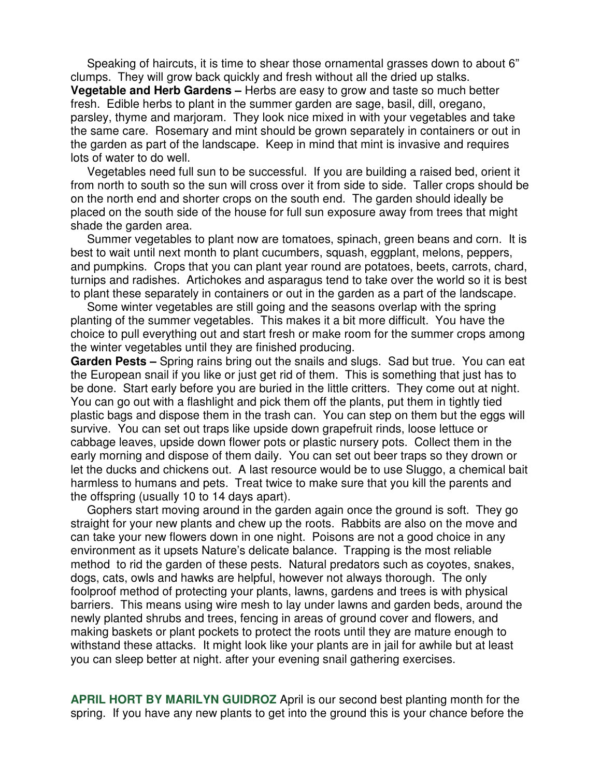Speaking of haircuts, it is time to shear those ornamental grasses down to about 6" clumps. They will grow back quickly and fresh without all the dried up stalks. **Vegetable and Herb Gardens –** Herbs are easy to grow and taste so much better fresh. Edible herbs to plant in the summer garden are sage, basil, dill, oregano, parsley, thyme and marjoram. They look nice mixed in with your vegetables and take the same care. Rosemary and mint should be grown separately in containers or out in the garden as part of the landscape. Keep in mind that mint is invasive and requires lots of water to do well.

 Vegetables need full sun to be successful. If you are building a raised bed, orient it from north to south so the sun will cross over it from side to side. Taller crops should be on the north end and shorter crops on the south end. The garden should ideally be placed on the south side of the house for full sun exposure away from trees that might shade the garden area.

 Summer vegetables to plant now are tomatoes, spinach, green beans and corn. It is best to wait until next month to plant cucumbers, squash, eggplant, melons, peppers, and pumpkins. Crops that you can plant year round are potatoes, beets, carrots, chard, turnips and radishes. Artichokes and asparagus tend to take over the world so it is best to plant these separately in containers or out in the garden as a part of the landscape.

 Some winter vegetables are still going and the seasons overlap with the spring planting of the summer vegetables. This makes it a bit more difficult. You have the choice to pull everything out and start fresh or make room for the summer crops among the winter vegetables until they are finished producing.

**Garden Pests –** Spring rains bring out the snails and slugs. Sad but true. You can eat the European snail if you like or just get rid of them. This is something that just has to be done. Start early before you are buried in the little critters. They come out at night. You can go out with a flashlight and pick them off the plants, put them in tightly tied plastic bags and dispose them in the trash can. You can step on them but the eggs will survive. You can set out traps like upside down grapefruit rinds, loose lettuce or cabbage leaves, upside down flower pots or plastic nursery pots. Collect them in the early morning and dispose of them daily. You can set out beer traps so they drown or let the ducks and chickens out. A last resource would be to use Sluggo, a chemical bait harmless to humans and pets. Treat twice to make sure that you kill the parents and the offspring (usually 10 to 14 days apart).

 Gophers start moving around in the garden again once the ground is soft. They go straight for your new plants and chew up the roots. Rabbits are also on the move and can take your new flowers down in one night. Poisons are not a good choice in any environment as it upsets Nature's delicate balance. Trapping is the most reliable method to rid the garden of these pests. Natural predators such as coyotes, snakes, dogs, cats, owls and hawks are helpful, however not always thorough. The only foolproof method of protecting your plants, lawns, gardens and trees is with physical barriers. This means using wire mesh to lay under lawns and garden beds, around the newly planted shrubs and trees, fencing in areas of ground cover and flowers, and making baskets or plant pockets to protect the roots until they are mature enough to withstand these attacks. It might look like your plants are in jail for awhile but at least you can sleep better at night. after your evening snail gathering exercises.

**APRIL HORT BY MARILYN GUIDROZ** April is our second best planting month for the spring. If you have any new plants to get into the ground this is your chance before the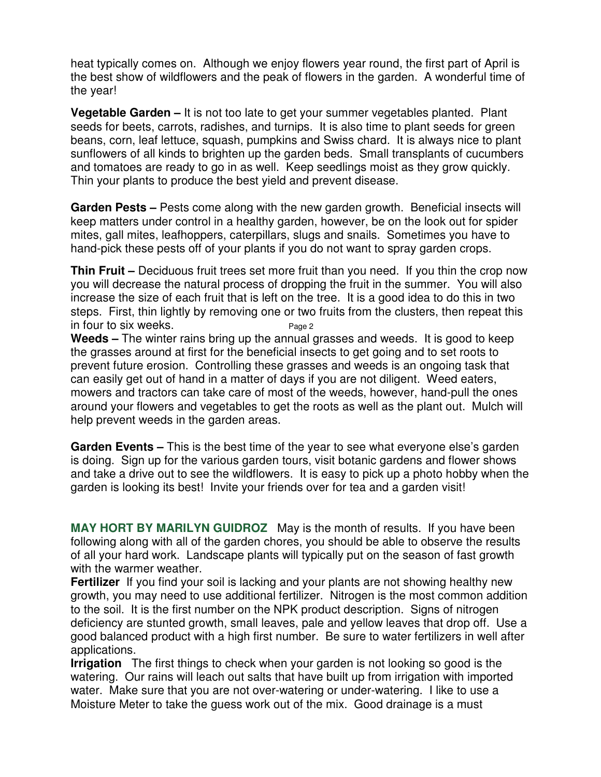heat typically comes on. Although we enjoy flowers year round, the first part of April is the best show of wildflowers and the peak of flowers in the garden. A wonderful time of the year!

**Vegetable Garden –** It is not too late to get your summer vegetables planted. Plant seeds for beets, carrots, radishes, and turnips. It is also time to plant seeds for green beans, corn, leaf lettuce, squash, pumpkins and Swiss chard. It is always nice to plant sunflowers of all kinds to brighten up the garden beds. Small transplants of cucumbers and tomatoes are ready to go in as well. Keep seedlings moist as they grow quickly. Thin your plants to produce the best yield and prevent disease.

**Garden Pests –** Pests come along with the new garden growth. Beneficial insects will keep matters under control in a healthy garden, however, be on the look out for spider mites, gall mites, leafhoppers, caterpillars, slugs and snails. Sometimes you have to hand-pick these pests off of your plants if you do not want to spray garden crops.

**Thin Fruit –** Deciduous fruit trees set more fruit than you need. If you thin the crop now you will decrease the natural process of dropping the fruit in the summer. You will also increase the size of each fruit that is left on the tree. It is a good idea to do this in two steps. First, thin lightly by removing one or two fruits from the clusters, then repeat this in four to six weeks.  $P_{\text{aae 2}}$ 

**Weeds –** The winter rains bring up the annual grasses and weeds. It is good to keep the grasses around at first for the beneficial insects to get going and to set roots to prevent future erosion. Controlling these grasses and weeds is an ongoing task that can easily get out of hand in a matter of days if you are not diligent. Weed eaters, mowers and tractors can take care of most of the weeds, however, hand-pull the ones around your flowers and vegetables to get the roots as well as the plant out. Mulch will help prevent weeds in the garden areas.

**Garden Events –** This is the best time of the year to see what everyone else's garden is doing. Sign up for the various garden tours, visit botanic gardens and flower shows and take a drive out to see the wildflowers. It is easy to pick up a photo hobby when the garden is looking its best! Invite your friends over for tea and a garden visit!

**MAY HORT BY MARILYN GUIDROZ** May is the month of results. If you have been following along with all of the garden chores, you should be able to observe the results of all your hard work. Landscape plants will typically put on the season of fast growth with the warmer weather.

**Fertilizer** If you find your soil is lacking and your plants are not showing healthy new growth, you may need to use additional fertilizer. Nitrogen is the most common addition to the soil. It is the first number on the NPK product description. Signs of nitrogen deficiency are stunted growth, small leaves, pale and yellow leaves that drop off. Use a good balanced product with a high first number. Be sure to water fertilizers in well after applications.

**Irrigation** The first things to check when your garden is not looking so good is the watering. Our rains will leach out salts that have built up from irrigation with imported water. Make sure that you are not over-watering or under-watering. I like to use a Moisture Meter to take the guess work out of the mix. Good drainage is a must